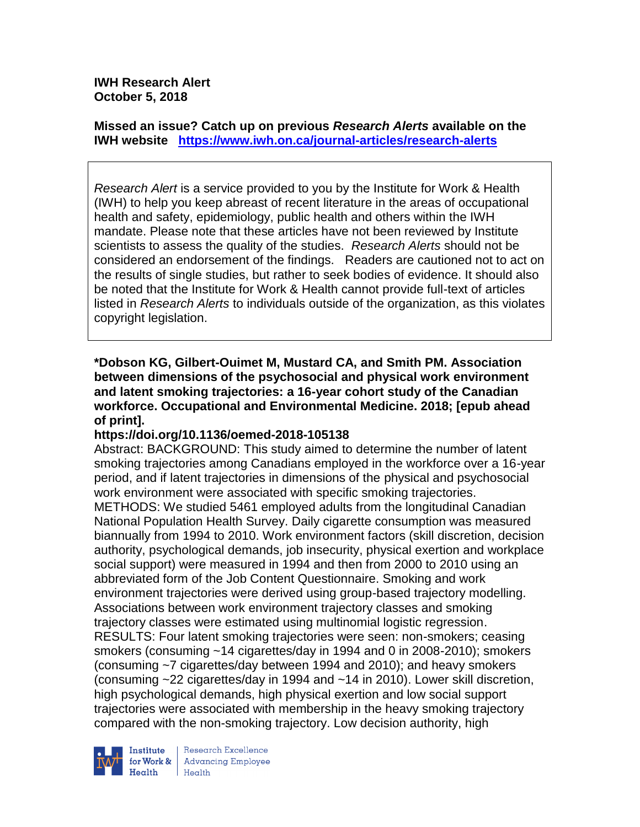**IWH Research Alert October 5, 2018**

**Missed an issue? Catch up on previous** *Research Alerts* **available on the [IWH website](http://www.iwh.on.ca/research-alerts) <https://www.iwh.on.ca/journal-articles/research-alerts>**

*Research Alert* is a service provided to you by the Institute for Work & Health (IWH) to help you keep abreast of recent literature in the areas of occupational health and safety, epidemiology, public health and others within the IWH mandate. Please note that these articles have not been reviewed by Institute scientists to assess the quality of the studies. *Research Alerts* should not be considered an endorsement of the findings. Readers are cautioned not to act on the results of single studies, but rather to seek bodies of evidence. It should also be noted that the Institute for Work & Health cannot provide full-text of articles listed in *Research Alerts* to individuals outside of the organization, as this violates copyright legislation.

**\*Dobson KG, Gilbert-Ouimet M, Mustard CA, and Smith PM. Association between dimensions of the psychosocial and physical work environment and latent smoking trajectories: a 16-year cohort study of the Canadian workforce. Occupational and Environmental Medicine. 2018; [epub ahead of print].**

### **https://doi.org/10.1136/oemed-2018-105138**

Abstract: BACKGROUND: This study aimed to determine the number of latent smoking trajectories among Canadians employed in the workforce over a 16-year period, and if latent trajectories in dimensions of the physical and psychosocial work environment were associated with specific smoking trajectories. METHODS: We studied 5461 employed adults from the longitudinal Canadian National Population Health Survey. Daily cigarette consumption was measured biannually from 1994 to 2010. Work environment factors (skill discretion, decision authority, psychological demands, job insecurity, physical exertion and workplace social support) were measured in 1994 and then from 2000 to 2010 using an abbreviated form of the Job Content Questionnaire. Smoking and work environment trajectories were derived using group-based trajectory modelling. Associations between work environment trajectory classes and smoking trajectory classes were estimated using multinomial logistic regression. RESULTS: Four latent smoking trajectories were seen: non-smokers; ceasing smokers (consuming ~14 cigarettes/day in 1994 and 0 in 2008-2010); smokers (consuming ~7 cigarettes/day between 1994 and 2010); and heavy smokers (consuming ~22 cigarettes/day in 1994 and ~14 in 2010). Lower skill discretion, high psychological demands, high physical exertion and low social support trajectories were associated with membership in the heavy smoking trajectory compared with the non-smoking trajectory. Low decision authority, high



Institute Research Excellence<br>
for Work & Advancing Employee<br>
Health Health  $H_{\text{eath}}$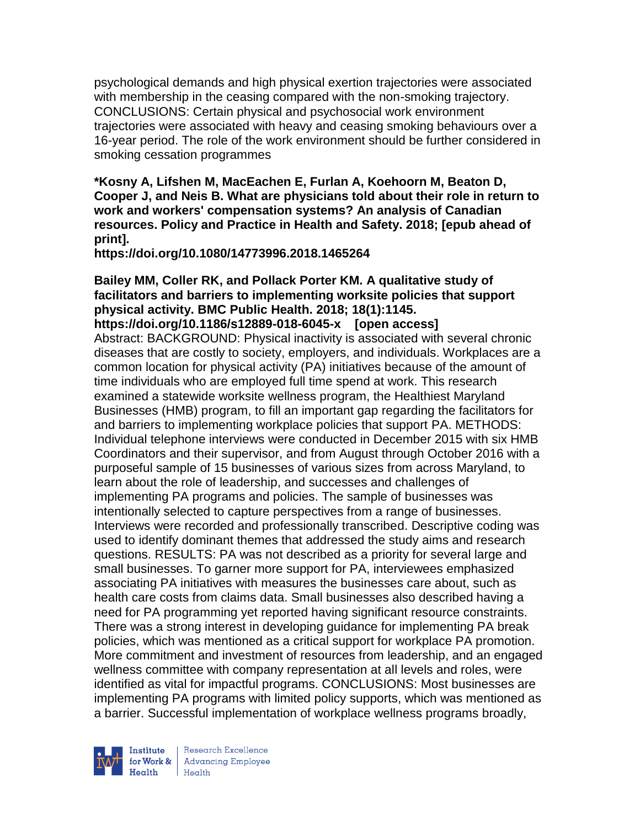psychological demands and high physical exertion trajectories were associated with membership in the ceasing compared with the non-smoking trajectory. CONCLUSIONS: Certain physical and psychosocial work environment trajectories were associated with heavy and ceasing smoking behaviours over a 16-year period. The role of the work environment should be further considered in smoking cessation programmes

**\*Kosny A, Lifshen M, MacEachen E, Furlan A, Koehoorn M, Beaton D, Cooper J, and Neis B. What are physicians told about their role in return to work and workers' compensation systems? An analysis of Canadian resources. Policy and Practice in Health and Safety. 2018; [epub ahead of print].**

**https://doi.org/10.1080/14773996.2018.1465264** 

# **Bailey MM, Coller RK, and Pollack Porter KM. A qualitative study of facilitators and barriers to implementing worksite policies that support physical activity. BMC Public Health. 2018; 18(1):1145.**

**https://doi.org/10.1186/s12889-018-6045-x [open access]** Abstract: BACKGROUND: Physical inactivity is associated with several chronic diseases that are costly to society, employers, and individuals. Workplaces are a common location for physical activity (PA) initiatives because of the amount of time individuals who are employed full time spend at work. This research examined a statewide worksite wellness program, the Healthiest Maryland Businesses (HMB) program, to fill an important gap regarding the facilitators for and barriers to implementing workplace policies that support PA. METHODS: Individual telephone interviews were conducted in December 2015 with six HMB Coordinators and their supervisor, and from August through October 2016 with a purposeful sample of 15 businesses of various sizes from across Maryland, to learn about the role of leadership, and successes and challenges of implementing PA programs and policies. The sample of businesses was intentionally selected to capture perspectives from a range of businesses. Interviews were recorded and professionally transcribed. Descriptive coding was used to identify dominant themes that addressed the study aims and research questions. RESULTS: PA was not described as a priority for several large and small businesses. To garner more support for PA, interviewees emphasized associating PA initiatives with measures the businesses care about, such as health care costs from claims data. Small businesses also described having a need for PA programming yet reported having significant resource constraints. There was a strong interest in developing guidance for implementing PA break policies, which was mentioned as a critical support for workplace PA promotion. More commitment and investment of resources from leadership, and an engaged wellness committee with company representation at all levels and roles, were identified as vital for impactful programs. CONCLUSIONS: Most businesses are implementing PA programs with limited policy supports, which was mentioned as a barrier. Successful implementation of workplace wellness programs broadly,

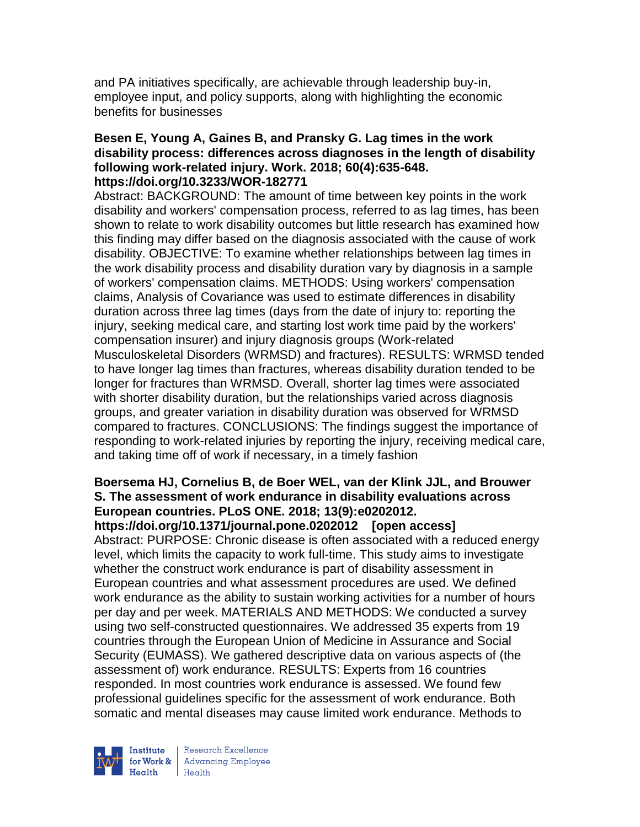and PA initiatives specifically, are achievable through leadership buy-in, employee input, and policy supports, along with highlighting the economic benefits for businesses

#### **Besen E, Young A, Gaines B, and Pransky G. Lag times in the work disability process: differences across diagnoses in the length of disability following work-related injury. Work. 2018; 60(4):635-648. https://doi.org/10.3233/WOR-182771**

Abstract: BACKGROUND: The amount of time between key points in the work disability and workers' compensation process, referred to as lag times, has been shown to relate to work disability outcomes but little research has examined how this finding may differ based on the diagnosis associated with the cause of work disability. OBJECTIVE: To examine whether relationships between lag times in the work disability process and disability duration vary by diagnosis in a sample of workers' compensation claims. METHODS: Using workers' compensation claims, Analysis of Covariance was used to estimate differences in disability duration across three lag times (days from the date of injury to: reporting the injury, seeking medical care, and starting lost work time paid by the workers' compensation insurer) and injury diagnosis groups (Work-related Musculoskeletal Disorders (WRMSD) and fractures). RESULTS: WRMSD tended to have longer lag times than fractures, whereas disability duration tended to be longer for fractures than WRMSD. Overall, shorter lag times were associated with shorter disability duration, but the relationships varied across diagnosis groups, and greater variation in disability duration was observed for WRMSD compared to fractures. CONCLUSIONS: The findings suggest the importance of responding to work-related injuries by reporting the injury, receiving medical care, and taking time off of work if necessary, in a timely fashion

#### **Boersema HJ, Cornelius B, de Boer WEL, van der Klink JJL, and Brouwer S. The assessment of work endurance in disability evaluations across European countries. PLoS ONE. 2018; 13(9):e0202012. https://doi.org/10.1371/journal.pone.0202012 [open access]**

Abstract: PURPOSE: Chronic disease is often associated with a reduced energy level, which limits the capacity to work full-time. This study aims to investigate whether the construct work endurance is part of disability assessment in European countries and what assessment procedures are used. We defined work endurance as the ability to sustain working activities for a number of hours per day and per week. MATERIALS AND METHODS: We conducted a survey using two self-constructed questionnaires. We addressed 35 experts from 19 countries through the European Union of Medicine in Assurance and Social Security (EUMASS). We gathered descriptive data on various aspects of (the assessment of) work endurance. RESULTS: Experts from 16 countries responded. In most countries work endurance is assessed. We found few professional guidelines specific for the assessment of work endurance. Both somatic and mental diseases may cause limited work endurance. Methods to

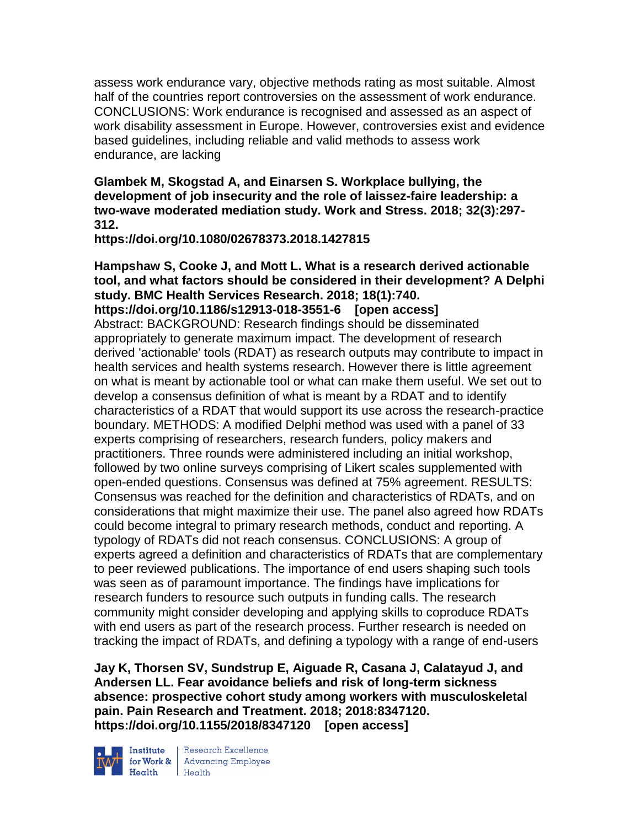assess work endurance vary, objective methods rating as most suitable. Almost half of the countries report controversies on the assessment of work endurance. CONCLUSIONS: Work endurance is recognised and assessed as an aspect of work disability assessment in Europe. However, controversies exist and evidence based guidelines, including reliable and valid methods to assess work endurance, are lacking

**Glambek M, Skogstad A, and Einarsen S. Workplace bullying, the development of job insecurity and the role of laissez-faire leadership: a two-wave moderated mediation study. Work and Stress. 2018; 32(3):297- 312.** 

**https://doi.org/10.1080/02678373.2018.1427815** 

# **Hampshaw S, Cooke J, and Mott L. What is a research derived actionable tool, and what factors should be considered in their development? A Delphi study. BMC Health Services Research. 2018; 18(1):740.**

**https://doi.org/10.1186/s12913-018-3551-6 [open access]** Abstract: BACKGROUND: Research findings should be disseminated appropriately to generate maximum impact. The development of research derived 'actionable' tools (RDAT) as research outputs may contribute to impact in health services and health systems research. However there is little agreement on what is meant by actionable tool or what can make them useful. We set out to develop a consensus definition of what is meant by a RDAT and to identify characteristics of a RDAT that would support its use across the research-practice boundary. METHODS: A modified Delphi method was used with a panel of 33 experts comprising of researchers, research funders, policy makers and practitioners. Three rounds were administered including an initial workshop, followed by two online surveys comprising of Likert scales supplemented with open-ended questions. Consensus was defined at 75% agreement. RESULTS: Consensus was reached for the definition and characteristics of RDATs, and on considerations that might maximize their use. The panel also agreed how RDATs could become integral to primary research methods, conduct and reporting. A typology of RDATs did not reach consensus. CONCLUSIONS: A group of experts agreed a definition and characteristics of RDATs that are complementary to peer reviewed publications. The importance of end users shaping such tools was seen as of paramount importance. The findings have implications for research funders to resource such outputs in funding calls. The research community might consider developing and applying skills to coproduce RDATs with end users as part of the research process. Further research is needed on tracking the impact of RDATs, and defining a typology with a range of end-users

**Jay K, Thorsen SV, Sundstrup E, Aiguade R, Casana J, Calatayud J, and Andersen LL. Fear avoidance beliefs and risk of long-term sickness absence: prospective cohort study among workers with musculoskeletal pain. Pain Research and Treatment. 2018; 2018:8347120. https://doi.org/10.1155/2018/8347120 [open access]**



**Institute** Research Excellence<br> **for Work &** Advancing Employee<br> **Health** Health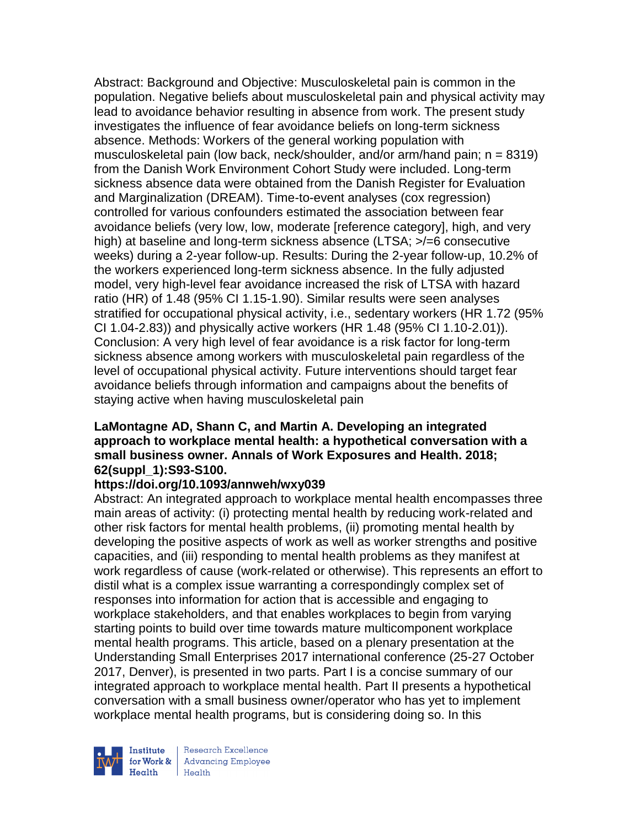Abstract: Background and Objective: Musculoskeletal pain is common in the population. Negative beliefs about musculoskeletal pain and physical activity may lead to avoidance behavior resulting in absence from work. The present study investigates the influence of fear avoidance beliefs on long-term sickness absence. Methods: Workers of the general working population with musculoskeletal pain (low back, neck/shoulder, and/or arm/hand pain;  $n = 8319$ ) from the Danish Work Environment Cohort Study were included. Long-term sickness absence data were obtained from the Danish Register for Evaluation and Marginalization (DREAM). Time-to-event analyses (cox regression) controlled for various confounders estimated the association between fear avoidance beliefs (very low, low, moderate [reference category], high, and very high) at baseline and long-term sickness absence (LTSA;  $\ge$ /=6 consecutive weeks) during a 2-year follow-up. Results: During the 2-year follow-up, 10.2% of the workers experienced long-term sickness absence. In the fully adjusted model, very high-level fear avoidance increased the risk of LTSA with hazard ratio (HR) of 1.48 (95% CI 1.15-1.90). Similar results were seen analyses stratified for occupational physical activity, i.e., sedentary workers (HR 1.72 (95% CI 1.04-2.83)) and physically active workers (HR 1.48 (95% CI 1.10-2.01)). Conclusion: A very high level of fear avoidance is a risk factor for long-term sickness absence among workers with musculoskeletal pain regardless of the level of occupational physical activity. Future interventions should target fear avoidance beliefs through information and campaigns about the benefits of staying active when having musculoskeletal pain

### **LaMontagne AD, Shann C, and Martin A. Developing an integrated approach to workplace mental health: a hypothetical conversation with a small business owner. Annals of Work Exposures and Health. 2018; 62(suppl\_1):S93-S100.**

### **https://doi.org/10.1093/annweh/wxy039**

Abstract: An integrated approach to workplace mental health encompasses three main areas of activity: (i) protecting mental health by reducing work-related and other risk factors for mental health problems, (ii) promoting mental health by developing the positive aspects of work as well as worker strengths and positive capacities, and (iii) responding to mental health problems as they manifest at work regardless of cause (work-related or otherwise). This represents an effort to distil what is a complex issue warranting a correspondingly complex set of responses into information for action that is accessible and engaging to workplace stakeholders, and that enables workplaces to begin from varying starting points to build over time towards mature multicomponent workplace mental health programs. This article, based on a plenary presentation at the Understanding Small Enterprises 2017 international conference (25-27 October 2017, Denver), is presented in two parts. Part I is a concise summary of our integrated approach to workplace mental health. Part II presents a hypothetical conversation with a small business owner/operator who has yet to implement workplace mental health programs, but is considering doing so. In this



Research Excellence for Work & | Advancing Employee Health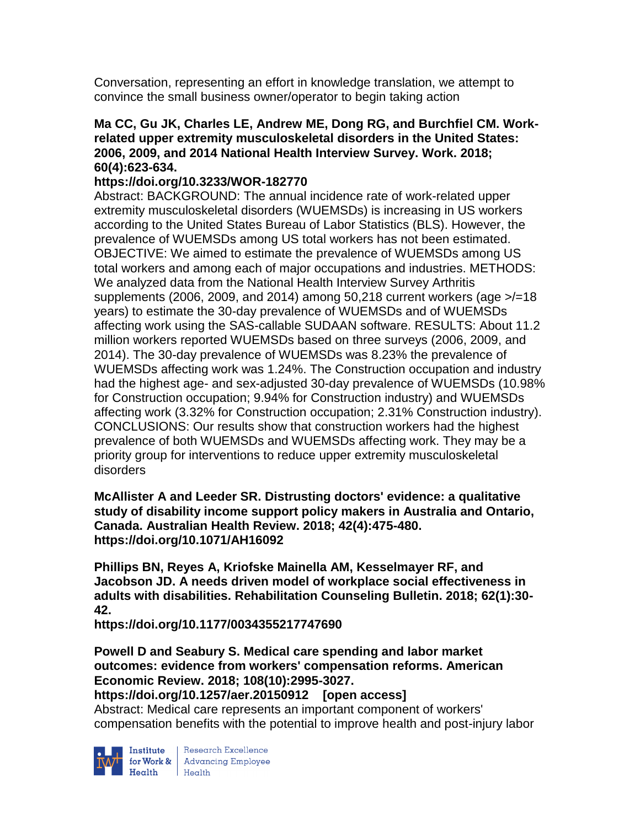Conversation, representing an effort in knowledge translation, we attempt to convince the small business owner/operator to begin taking action

### **Ma CC, Gu JK, Charles LE, Andrew ME, Dong RG, and Burchfiel CM. Workrelated upper extremity musculoskeletal disorders in the United States: 2006, 2009, and 2014 National Health Interview Survey. Work. 2018; 60(4):623-634.**

## **https://doi.org/10.3233/WOR-182770**

Abstract: BACKGROUND: The annual incidence rate of work-related upper extremity musculoskeletal disorders (WUEMSDs) is increasing in US workers according to the United States Bureau of Labor Statistics (BLS). However, the prevalence of WUEMSDs among US total workers has not been estimated. OBJECTIVE: We aimed to estimate the prevalence of WUEMSDs among US total workers and among each of major occupations and industries. METHODS: We analyzed data from the National Health Interview Survey Arthritis supplements (2006, 2009, and 2014) among 50,218 current workers (age  $\ge$ /=18 years) to estimate the 30-day prevalence of WUEMSDs and of WUEMSDs affecting work using the SAS-callable SUDAAN software. RESULTS: About 11.2 million workers reported WUEMSDs based on three surveys (2006, 2009, and 2014). The 30-day prevalence of WUEMSDs was 8.23% the prevalence of WUEMSDs affecting work was 1.24%. The Construction occupation and industry had the highest age- and sex-adjusted 30-day prevalence of WUEMSDs (10.98% for Construction occupation; 9.94% for Construction industry) and WUEMSDs affecting work (3.32% for Construction occupation; 2.31% Construction industry). CONCLUSIONS: Our results show that construction workers had the highest prevalence of both WUEMSDs and WUEMSDs affecting work. They may be a priority group for interventions to reduce upper extremity musculoskeletal disorders

**McAllister A and Leeder SR. Distrusting doctors' evidence: a qualitative study of disability income support policy makers in Australia and Ontario, Canada. Australian Health Review. 2018; 42(4):475-480. https://doi.org/10.1071/AH16092** 

**Phillips BN, Reyes A, Kriofske Mainella AM, Kesselmayer RF, and Jacobson JD. A needs driven model of workplace social effectiveness in adults with disabilities. Rehabilitation Counseling Bulletin. 2018; 62(1):30- 42.** 

**https://doi.org/10.1177/0034355217747690** 

**Powell D and Seabury S. Medical care spending and labor market outcomes: evidence from workers' compensation reforms. American Economic Review. 2018; 108(10):2995-3027.** 

### **https://doi.org/10.1257/aer.20150912 [open access]**

Abstract: Medical care represents an important component of workers' compensation benefits with the potential to improve health and post-injury labor



**Institute** Research Excellence<br> **for Work &** Advancing Employee<br> **Health** Health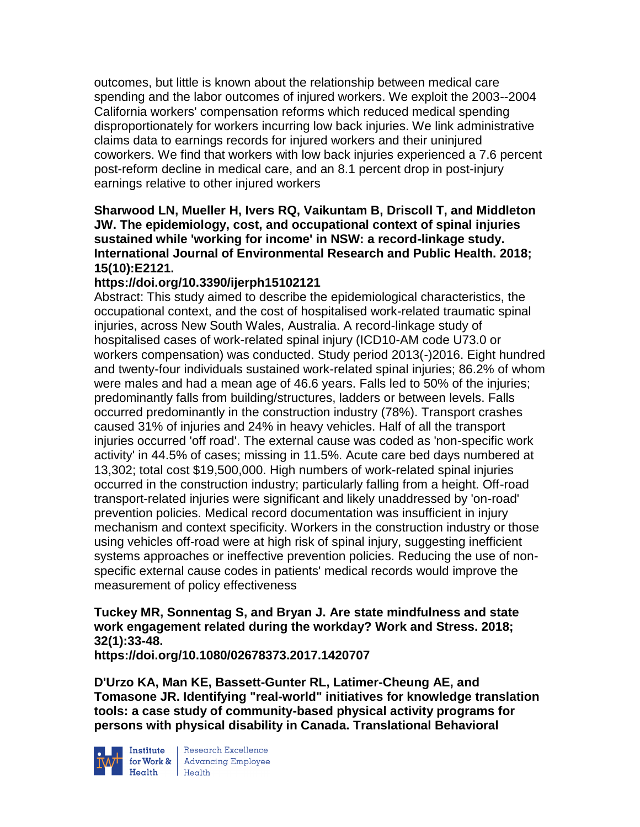outcomes, but little is known about the relationship between medical care spending and the labor outcomes of injured workers. We exploit the 2003--2004 California workers' compensation reforms which reduced medical spending disproportionately for workers incurring low back injuries. We link administrative claims data to earnings records for injured workers and their uninjured coworkers. We find that workers with low back injuries experienced a 7.6 percent post-reform decline in medical care, and an 8.1 percent drop in post-injury earnings relative to other injured workers

### **Sharwood LN, Mueller H, Ivers RQ, Vaikuntam B, Driscoll T, and Middleton JW. The epidemiology, cost, and occupational context of spinal injuries sustained while 'working for income' in NSW: a record-linkage study. International Journal of Environmental Research and Public Health. 2018; 15(10):E2121.**

# **https://doi.org/10.3390/ijerph15102121**

Abstract: This study aimed to describe the epidemiological characteristics, the occupational context, and the cost of hospitalised work-related traumatic spinal injuries, across New South Wales, Australia. A record-linkage study of hospitalised cases of work-related spinal injury (ICD10-AM code U73.0 or workers compensation) was conducted. Study period 2013(-)2016. Eight hundred and twenty-four individuals sustained work-related spinal injuries; 86.2% of whom were males and had a mean age of 46.6 years. Falls led to 50% of the injuries; predominantly falls from building/structures, ladders or between levels. Falls occurred predominantly in the construction industry (78%). Transport crashes caused 31% of injuries and 24% in heavy vehicles. Half of all the transport injuries occurred 'off road'. The external cause was coded as 'non-specific work activity' in 44.5% of cases; missing in 11.5%. Acute care bed days numbered at 13,302; total cost \$19,500,000. High numbers of work-related spinal injuries occurred in the construction industry; particularly falling from a height. Off-road transport-related injuries were significant and likely unaddressed by 'on-road' prevention policies. Medical record documentation was insufficient in injury mechanism and context specificity. Workers in the construction industry or those using vehicles off-road were at high risk of spinal injury, suggesting inefficient systems approaches or ineffective prevention policies. Reducing the use of nonspecific external cause codes in patients' medical records would improve the measurement of policy effectiveness

**Tuckey MR, Sonnentag S, and Bryan J. Are state mindfulness and state work engagement related during the workday? Work and Stress. 2018; 32(1):33-48.** 

**https://doi.org/10.1080/02678373.2017.1420707** 

**D'Urzo KA, Man KE, Bassett-Gunter RL, Latimer-Cheung AE, and Tomasone JR. Identifying "real-world" initiatives for knowledge translation tools: a case study of community-based physical activity programs for persons with physical disability in Canada. Translational Behavioral** 



**Institute** Research Excellence<br> **for Work &** Advancing Employee<br> **Health** Health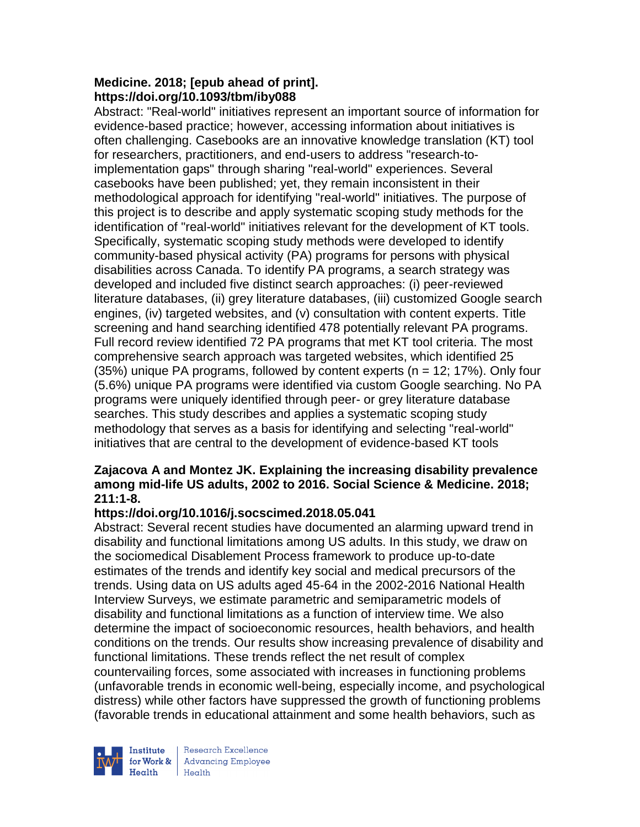### **Medicine. 2018; [epub ahead of print]. https://doi.org/10.1093/tbm/iby088**

Abstract: "Real-world" initiatives represent an important source of information for evidence-based practice; however, accessing information about initiatives is often challenging. Casebooks are an innovative knowledge translation (KT) tool for researchers, practitioners, and end-users to address "research-toimplementation gaps" through sharing "real-world" experiences. Several casebooks have been published; yet, they remain inconsistent in their methodological approach for identifying "real-world" initiatives. The purpose of this project is to describe and apply systematic scoping study methods for the identification of "real-world" initiatives relevant for the development of KT tools. Specifically, systematic scoping study methods were developed to identify community-based physical activity (PA) programs for persons with physical disabilities across Canada. To identify PA programs, a search strategy was developed and included five distinct search approaches: (i) peer-reviewed literature databases, (ii) grey literature databases, (iii) customized Google search engines, (iv) targeted websites, and (v) consultation with content experts. Title screening and hand searching identified 478 potentially relevant PA programs. Full record review identified 72 PA programs that met KT tool criteria. The most comprehensive search approach was targeted websites, which identified 25  $(35%)$  unique PA programs, followed by content experts  $(n = 12; 17%)$ . Only four (5.6%) unique PA programs were identified via custom Google searching. No PA programs were uniquely identified through peer- or grey literature database searches. This study describes and applies a systematic scoping study methodology that serves as a basis for identifying and selecting "real-world" initiatives that are central to the development of evidence-based KT tools

### **Zajacova A and Montez JK. Explaining the increasing disability prevalence among mid-life US adults, 2002 to 2016. Social Science & Medicine. 2018; 211:1-8.**

### **https://doi.org/10.1016/j.socscimed.2018.05.041**

Abstract: Several recent studies have documented an alarming upward trend in disability and functional limitations among US adults. In this study, we draw on the sociomedical Disablement Process framework to produce up-to-date estimates of the trends and identify key social and medical precursors of the trends. Using data on US adults aged 45-64 in the 2002-2016 National Health Interview Surveys, we estimate parametric and semiparametric models of disability and functional limitations as a function of interview time. We also determine the impact of socioeconomic resources, health behaviors, and health conditions on the trends. Our results show increasing prevalence of disability and functional limitations. These trends reflect the net result of complex countervailing forces, some associated with increases in functioning problems (unfavorable trends in economic well-being, especially income, and psychological distress) while other factors have suppressed the growth of functioning problems (favorable trends in educational attainment and some health behaviors, such as



Research Excellence for Work & | Advancing Employee  $H_{\text{eath}}$